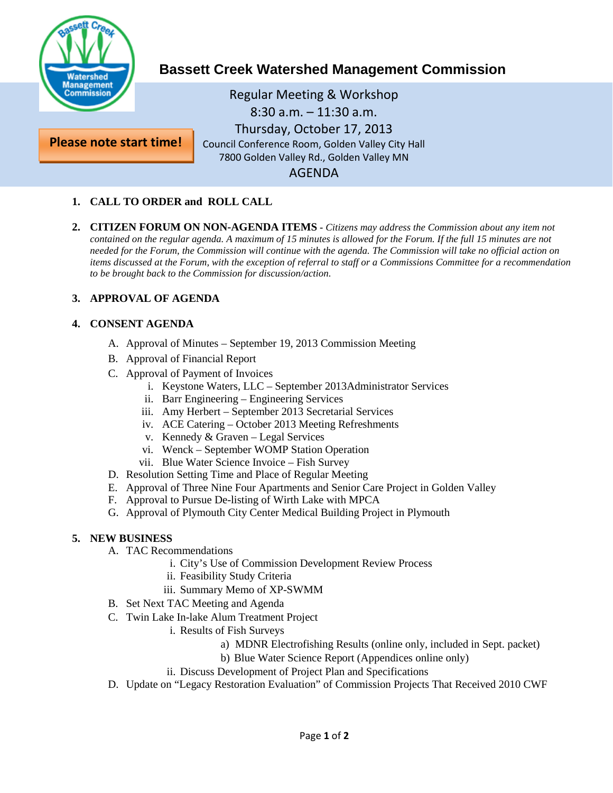

**Please note start time!**

# **Bassett Creek Watershed Management Commission**

Regular Meeting & Workshop 8:30 a.m. – 11:30 a.m. Thursday, October 17, 2013 Council Conference Room, Golden Valley City Hall 7800 Golden Valley Rd., Golden Valley MN AGENDA

# **1. CALL TO ORDER and ROLL CALL**

**2. CITIZEN FORUM ON NON-AGENDA ITEMS -** *Citizens may address the Commission about any item not contained on the regular agenda. A maximum of 15 minutes is allowed for the Forum. If the full 15 minutes are not needed for the Forum, the Commission will continue with the agenda. The Commission will take no official action on items discussed at the Forum, with the exception of referral to staff or a Commissions Committee for a recommendation to be brought back to the Commission for discussion/action.*

# **3. APPROVAL OF AGENDA**

## **4. CONSENT AGENDA**

- A. Approval of Minutes September 19, 2013 Commission Meeting
- B. Approval of Financial Report
- C. Approval of Payment of Invoices
	- i. Keystone Waters, LLC September 2013Administrator Services
	- ii. Barr Engineering Engineering Services
	- iii. Amy Herbert September 2013 Secretarial Services
	- iv. ACE Catering October 2013 Meeting Refreshments
	- v. Kennedy & Graven Legal Services
	- vi. Wenck September WOMP Station Operation
	- vii. Blue Water Science Invoice Fish Survey
- D. Resolution Setting Time and Place of Regular Meeting
- E. Approval of Three Nine Four Apartments and Senior Care Project in Golden Valley
- F. Approval to Pursue De-listing of Wirth Lake with MPCA
- G. Approval of Plymouth City Center Medical Building Project in Plymouth

#### **5. NEW BUSINESS**

- A. TAC Recommendations
	- i. City's Use of Commission Development Review Process
	- ii. Feasibility Study Criteria
	- iii. Summary Memo of XP-SWMM
- B. Set Next TAC Meeting and Agenda
- C. Twin Lake In-lake Alum Treatment Project
	- i. Results of Fish Surveys
		- a) MDNR Electrofishing Results (online only, included in Sept. packet)
		- b) Blue Water Science Report (Appendices online only)
	- ii. Discuss Development of Project Plan and Specifications
- D. Update on "Legacy Restoration Evaluation" of Commission Projects That Received 2010 CWF